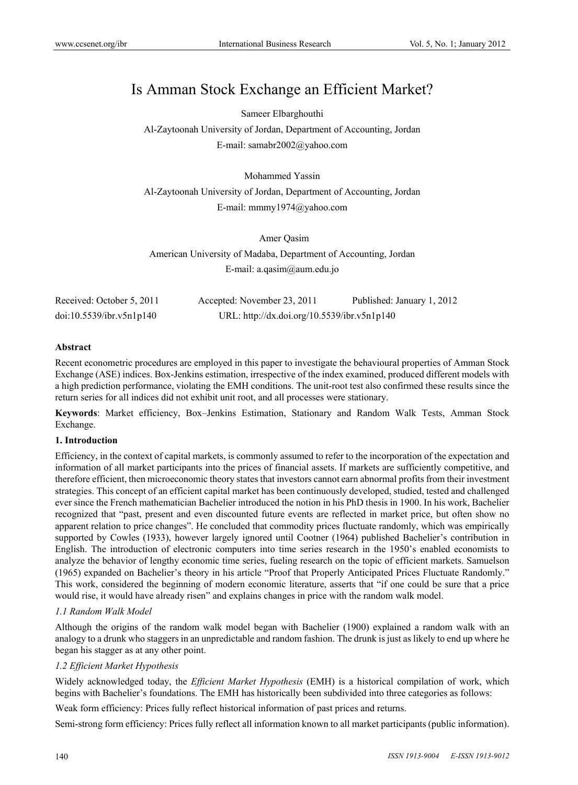# Is Amman Stock Exchange an Efficient Market?

Sameer Elbarghouthi

Al-Zaytoonah University of Jordan, Department of Accounting, Jordan E-mail: samabr2002@yahoo.com

Mohammed Yassin

Al-Zaytoonah University of Jordan, Department of Accounting, Jordan E-mail: mmmy1974@yahoo.com

 Amer Qasim American University of Madaba, Department of Accounting, Jordan E-mail: a.qasim@aum.edu.jo

| Received: October 5, 2011 | Accepted: November 23, 2011                 | Published: January 1, 2012 |
|---------------------------|---------------------------------------------|----------------------------|
| doi:10.5539/ibr.v5n1p140  | URL: http://dx.doi.org/10.5539/ibr.v5n1p140 |                            |

### **Abstract**

Recent econometric procedures are employed in this paper to investigate the behavioural properties of Amman Stock Exchange (ASE) indices. Box-Jenkins estimation, irrespective of the index examined, produced different models with a high prediction performance, violating the EMH conditions. The unit-root test also confirmed these results since the return series for all indices did not exhibit unit root, and all processes were stationary.

**Keywords**: Market efficiency, Box–Jenkins Estimation, Stationary and Random Walk Tests, Amman Stock Exchange.

# **1. Introduction**

Efficiency, in the context of capital markets, is commonly assumed to refer to the incorporation of the expectation and information of all market participants into the prices of financial assets. If markets are sufficiently competitive, and therefore efficient, then microeconomic theory states that investors cannot earn abnormal profits from their investment strategies. This concept of an efficient capital market has been continuously developed, studied, tested and challenged ever since the French mathematician Bachelier introduced the notion in his PhD thesis in 1900. In his work, Bachelier recognized that "past, present and even discounted future events are reflected in market price, but often show no apparent relation to price changes". He concluded that commodity prices fluctuate randomly, which was empirically supported by Cowles (1933), however largely ignored until Cootner (1964) published Bachelier's contribution in English. The introduction of electronic computers into time series research in the 1950's enabled economists to analyze the behavior of lengthy economic time series, fueling research on the topic of efficient markets. Samuelson (1965) expanded on Bachelier's theory in his article "Proof that Properly Anticipated Prices Fluctuate Randomly." This work, considered the beginning of modern economic literature, asserts that "if one could be sure that a price would rise, it would have already risen" and explains changes in price with the random walk model.

# *1.1 Random Walk Model*

Although the origins of the random walk model began with Bachelier (1900) explained a random walk with an analogy to a drunk who staggers in an unpredictable and random fashion. The drunk is just as likely to end up where he began his stagger as at any other point.

# *1.2 Efficient Market Hypothesis*

Widely acknowledged today, the *Efficient Market Hypothesis* (EMH) is a historical compilation of work, which begins with Bachelier's foundations. The EMH has historically been subdivided into three categories as follows:

Weak form efficiency: Prices fully reflect historical information of past prices and returns.

Semi-strong form efficiency: Prices fully reflect all information known to all market participants (public information).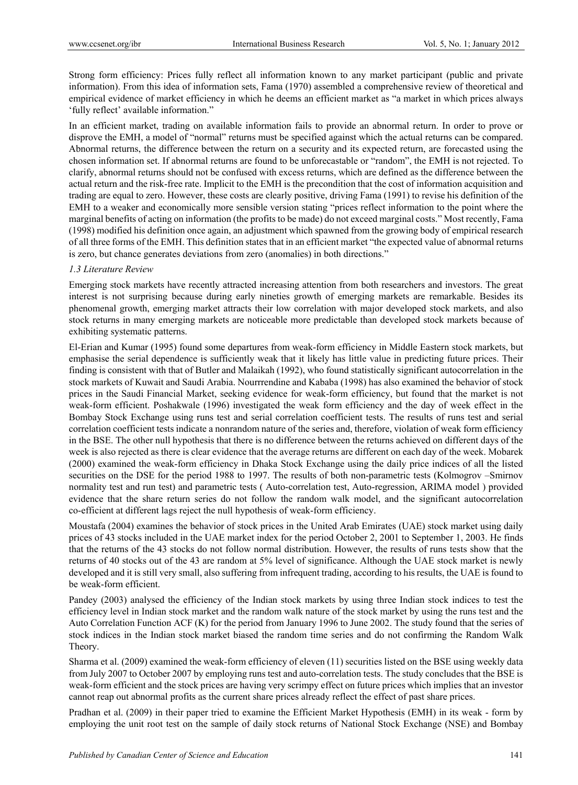Strong form efficiency: Prices fully reflect all information known to any market participant (public and private information). From this idea of information sets, Fama (1970) assembled a comprehensive review of theoretical and empirical evidence of market efficiency in which he deems an efficient market as "a market in which prices always 'fully reflect' available information."

In an efficient market, trading on available information fails to provide an abnormal return. In order to prove or disprove the EMH, a model of "normal" returns must be specified against which the actual returns can be compared. Abnormal returns, the difference between the return on a security and its expected return, are forecasted using the chosen information set. If abnormal returns are found to be unforecastable or "random", the EMH is not rejected. To clarify, abnormal returns should not be confused with excess returns, which are defined as the difference between the actual return and the risk-free rate. Implicit to the EMH is the precondition that the cost of information acquisition and trading are equal to zero. However, these costs are clearly positive, driving Fama (1991) to revise his definition of the EMH to a weaker and economically more sensible version stating "prices reflect information to the point where the marginal benefits of acting on information (the profits to be made) do not exceed marginal costs." Most recently, Fama (1998) modified his definition once again, an adjustment which spawned from the growing body of empirical research of all three forms of the EMH. This definition states that in an efficient market "the expected value of abnormal returns is zero, but chance generates deviations from zero (anomalies) in both directions."

# *1.3 Literature Review*

Emerging stock markets have recently attracted increasing attention from both researchers and investors. The great interest is not surprising because during early nineties growth of emerging markets are remarkable. Besides its phenomenal growth, emerging market attracts their low correlation with major developed stock markets, and also stock returns in many emerging markets are noticeable more predictable than developed stock markets because of exhibiting systematic patterns.

El-Erian and Kumar (1995) found some departures from weak-form efficiency in Middle Eastern stock markets, but emphasise the serial dependence is sufficiently weak that it likely has little value in predicting future prices. Their finding is consistent with that of Butler and Malaikah (1992), who found statistically significant autocorrelation in the stock markets of Kuwait and Saudi Arabia. Nourrrendine and Kababa (1998) has also examined the behavior of stock prices in the Saudi Financial Market, seeking evidence for weak-form efficiency, but found that the market is not weak-form efficient. Poshakwale (1996) investigated the weak form efficiency and the day of week effect in the Bombay Stock Exchange using runs test and serial correlation coefficient tests. The results of runs test and serial correlation coefficient tests indicate a nonrandom nature of the series and, therefore, violation of weak form efficiency in the BSE. The other null hypothesis that there is no difference between the returns achieved on different days of the week is also rejected as there is clear evidence that the average returns are different on each day of the week. Mobarek (2000) examined the weak-form efficiency in Dhaka Stock Exchange using the daily price indices of all the listed securities on the DSE for the period 1988 to 1997. The results of both non-parametric tests (Kolmogrov –Smirnov normality test and run test) and parametric tests ( Auto-correlation test, Auto-regression, ARIMA model ) provided evidence that the share return series do not follow the random walk model, and the significant autocorrelation co-efficient at different lags reject the null hypothesis of weak-form efficiency.

Moustafa (2004) examines the behavior of stock prices in the United Arab Emirates (UAE) stock market using daily prices of 43 stocks included in the UAE market index for the period October 2, 2001 to September 1, 2003. He finds that the returns of the 43 stocks do not follow normal distribution. However, the results of runs tests show that the returns of 40 stocks out of the 43 are random at 5% level of significance. Although the UAE stock market is newly developed and it is still very small, also suffering from infrequent trading, according to his results, the UAE is found to be weak-form efficient.

Pandey (2003) analysed the efficiency of the Indian stock markets by using three Indian stock indices to test the efficiency level in Indian stock market and the random walk nature of the stock market by using the runs test and the Auto Correlation Function ACF (K) for the period from January 1996 to June 2002. The study found that the series of stock indices in the Indian stock market biased the random time series and do not confirming the Random Walk Theory.

Sharma et al. (2009) examined the weak-form efficiency of eleven (11) securities listed on the BSE using weekly data from July 2007 to October 2007 by employing runs test and auto-correlation tests. The study concludes that the BSE is weak-form efficient and the stock prices are having very scrimpy effect on future prices which implies that an investor cannot reap out abnormal profits as the current share prices already reflect the effect of past share prices.

Pradhan et al. (2009) in their paper tried to examine the Efficient Market Hypothesis (EMH) in its weak - form by employing the unit root test on the sample of daily stock returns of National Stock Exchange (NSE) and Bombay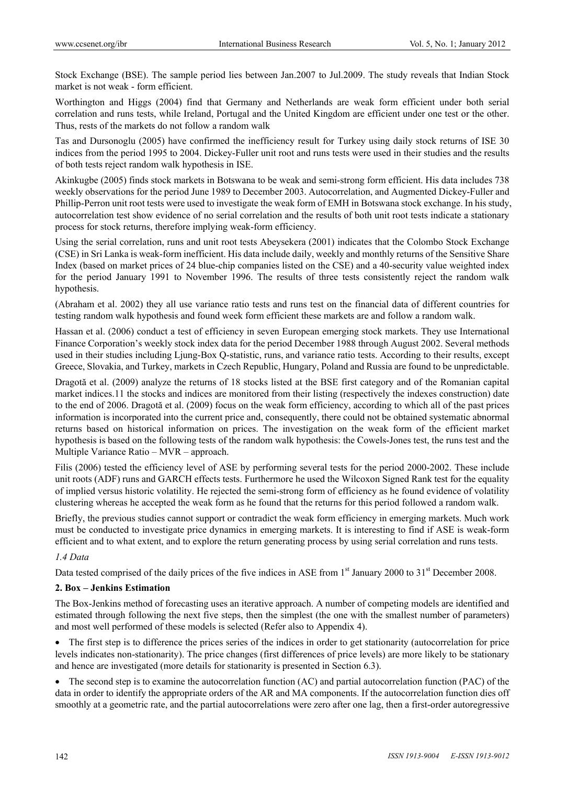Stock Exchange (BSE). The sample period lies between Jan.2007 to Jul.2009. The study reveals that Indian Stock market is not weak - form efficient.

Worthington and Higgs (2004) find that Germany and Netherlands are weak form efficient under both serial correlation and runs tests, while Ireland, Portugal and the United Kingdom are efficient under one test or the other. Thus, rests of the markets do not follow a random walk

Tas and Dursonoglu (2005) have confirmed the inefficiency result for Turkey using daily stock returns of ISE 30 indices from the period 1995 to 2004. Dickey-Fuller unit root and runs tests were used in their studies and the results of both tests reject random walk hypothesis in ISE.

Akinkugbe (2005) finds stock markets in Botswana to be weak and semi-strong form efficient. His data includes 738 weekly observations for the period June 1989 to December 2003. Autocorrelation, and Augmented Dickey-Fuller and Phillip-Perron unit root tests were used to investigate the weak form of EMH in Botswana stock exchange. In his study, autocorrelation test show evidence of no serial correlation and the results of both unit root tests indicate a stationary process for stock returns, therefore implying weak-form efficiency.

Using the serial correlation, runs and unit root tests Abeysekera (2001) indicates that the Colombo Stock Exchange (CSE) in Sri Lanka is weak-form inefficient. His data include daily, weekly and monthly returns of the Sensitive Share Index (based on market prices of 24 blue-chip companies listed on the CSE) and a 40-security value weighted index for the period January 1991 to November 1996. The results of three tests consistently reject the random walk hypothesis.

(Abraham et al. 2002) they all use variance ratio tests and runs test on the financial data of different countries for testing random walk hypothesis and found week form efficient these markets are and follow a random walk.

Hassan et al. (2006) conduct a test of efficiency in seven European emerging stock markets. They use International Finance Corporation's weekly stock index data for the period December 1988 through August 2002. Several methods used in their studies including Ljung-Box Q-statistic, runs, and variance ratio tests. According to their results, except Greece, Slovakia, and Turkey, markets in Czech Republic, Hungary, Poland and Russia are found to be unpredictable.

Dragotă et al. (2009) analyze the returns of 18 stocks listed at the BSE first category and of the Romanian capital market indices.11 the stocks and indices are monitored from their listing (respectively the indexes construction) date to the end of 2006. Dragotă et al. (2009) focus on the weak form efficiency, according to which all of the past prices information is incorporated into the current price and, consequently, there could not be obtained systematic abnormal returns based on historical information on prices. The investigation on the weak form of the efficient market hypothesis is based on the following tests of the random walk hypothesis: the Cowels-Jones test, the runs test and the Multiple Variance Ratio – MVR – approach.

Filis (2006) tested the efficiency level of ASE by performing several tests for the period 2000-2002. These include unit roots (ADF) runs and GARCH effects tests. Furthermore he used the Wilcoxon Signed Rank test for the equality of implied versus historic volatility. He rejected the semi-strong form of efficiency as he found evidence of volatility clustering whereas he accepted the weak form as he found that the returns for this period followed a random walk.

Briefly, the previous studies cannot support or contradict the weak form efficiency in emerging markets. Much work must be conducted to investigate price dynamics in emerging markets. It is interesting to find if ASE is weak-form efficient and to what extent, and to explore the return generating process by using serial correlation and runs tests.

# *1.4 Data*

Data tested comprised of the daily prices of the five indices in ASE from 1<sup>st</sup> January 2000 to 31<sup>st</sup> December 2008.

# **2. Box – Jenkins Estimation**

The Box-Jenkins method of forecasting uses an iterative approach. A number of competing models are identified and estimated through following the next five steps, then the simplest (the one with the smallest number of parameters) and most well performed of these models is selected (Refer also to Appendix 4).

• The first step is to difference the prices series of the indices in order to get stationarity (autocorrelation for price levels indicates non-stationarity). The price changes (first differences of price levels) are more likely to be stationary and hence are investigated (more details for stationarity is presented in Section 6.3).

 $\bullet$  The second step is to examine the autocorrelation function (AC) and partial autocorrelation function (PAC) of the data in order to identify the appropriate orders of the AR and MA components. If the autocorrelation function dies off smoothly at a geometric rate, and the partial autocorrelations were zero after one lag, then a first-order autoregressive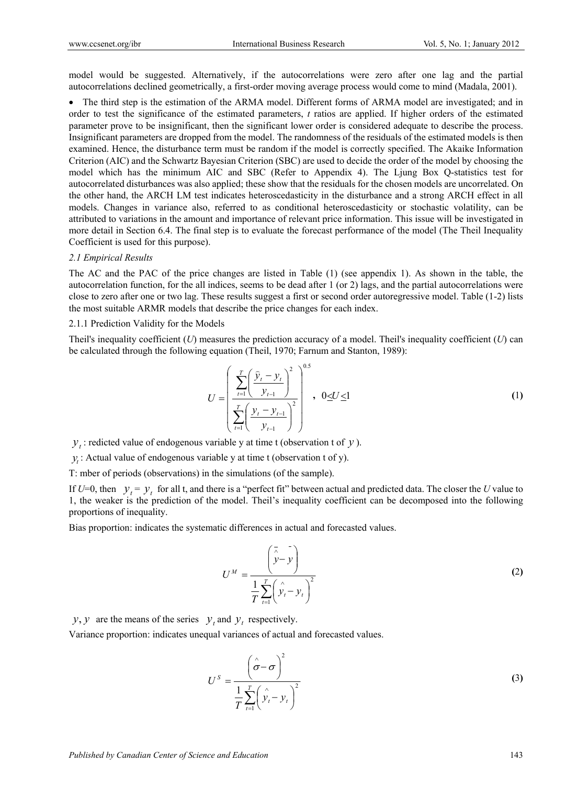model would be suggested. Alternatively, if the autocorrelations were zero after one lag and the partial autocorrelations declined geometrically, a first-order moving average process would come to mind (Madala, 2001).

• The third step is the estimation of the ARMA model. Different forms of ARMA model are investigated; and in order to test the significance of the estimated parameters, *t* ratios are applied. If higher orders of the estimated parameter prove to be insignificant, then the significant lower order is considered adequate to describe the process. Insignificant parameters are dropped from the model. The randomness of the residuals of the estimated models is then examined. Hence, the disturbance term must be random if the model is correctly specified. The Akaike Information Criterion (AIC) and the Schwartz Bayesian Criterion (SBC) are used to decide the order of the model by choosing the model which has the minimum AIC and SBC (Refer to Appendix 4). The Ljung Box Q-statistics test for autocorrelated disturbances was also applied; these show that the residuals for the chosen models are uncorrelated. On the other hand, the ARCH LM test indicates heteroscedasticity in the disturbance and a strong ARCH effect in all models. Changes in variance also, referred to as conditional heteroscedasticity or stochastic volatility, can be attributed to variations in the amount and importance of relevant price information. This issue will be investigated in more detail in Section 6.4. The final step is to evaluate the forecast performance of the model (The Theil Inequality Coefficient is used for this purpose).

#### *2.1 Empirical Results*

The AC and the PAC of the price changes are listed in Table (1) (see appendix 1). As shown in the table, the autocorrelation function, for the all indices, seems to be dead after 1 (or 2) lags, and the partial autocorrelations were close to zero after one or two lag. These results suggest a first or second order autoregressive model. Table (1-2) lists the most suitable ARMR models that describe the price changes for each index.

#### 2.1.1 Prediction Validity for the Models

Theil's inequality coefficient  $(U)$  measures the prediction accuracy of a model. Theil's inequality coefficient  $(U)$  can be calculated through the following equation (Theil, 1970; Farnum and Stanton, 1989):

$$
U = \left(\frac{\sum_{t=1}^{T} \left(\frac{\hat{y}_t - y_t}{y_{t-1}}\right)^2}{\sum_{t=1}^{T} \left(\frac{y_t - y_{t-1}}{y_{t-1}}\right)^2}\right)^{0.5}, \ 0 \le U \le 1
$$
 (1)

 $y_t$ : redicted value of endogenous variable y at time t (observation t of  $y$ ).

 $y_t$ : Actual value of endogenous variable y at time t (observation t of y).

T: mber of periods (observations) in the simulations (of the sample).

If  $U=0$ , then  $y_t = y_t$  for all t, and there is a "perfect fit" between actual and predicted data. The closer the *U* value to 1, the weaker is the prediction of the model. Theil's inequality coefficient can be decomposed into the following proportions of inequality.

Bias proportion: indicates the systematic differences in actual and forecasted values.

$$
U^M = \frac{\begin{pmatrix} \overline{z} & \overline{z} \\ \overline{y} - \overline{y} \end{pmatrix}}{\frac{1}{T} \sum_{t=1}^T \begin{pmatrix} \overline{z} & \overline{z} \\ \overline{y}_t - \overline{y}_t \end{pmatrix}^2} \tag{2}
$$

*y*, *y* are the means of the series  $y_t$  and  $y_t$  respectively.

Variance proportion: indicates unequal variances of actual and forecasted values.

$$
U^{S} = \frac{\left(\hat{\sigma} - \sigma\right)^{2}}{\frac{1}{T} \sum_{t=1}^{T} \left(\hat{y}_{t} - y_{t}\right)^{2}}
$$
(3)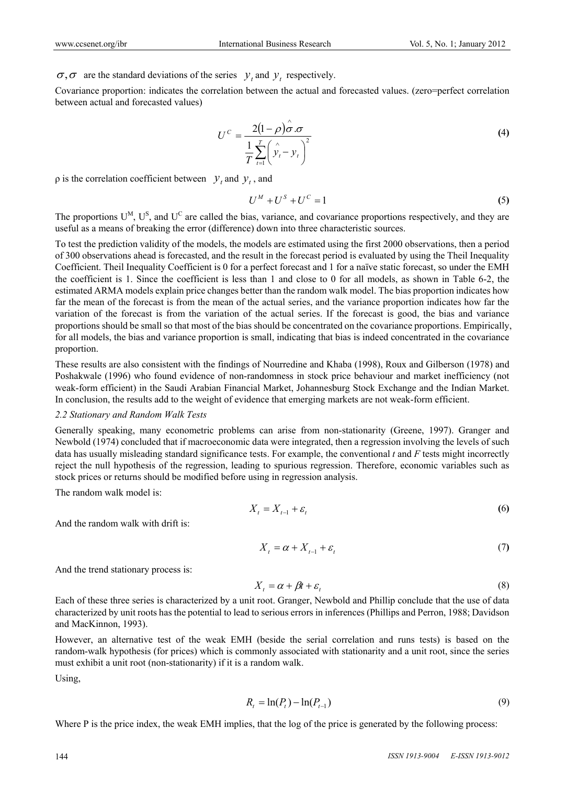$\sigma$ ,  $\sigma$  are the standard deviations of the series  $y_t$  and  $y_t$  respectively.

Covariance proportion: indicates the correlation between the actual and forecasted values. (zero=perfect correlation between actual and forecasted values)

$$
U^{C} = \frac{2(1-\rho)\hat{\sigma}.\sigma}{\frac{1}{T}\sum_{t=1}^{T}(\hat{y}_{t}-y_{t})^{2}}
$$
(4)

 $\alpha$  is the correlation coefficient between  $y_t$  and  $y_t$ , and

$$
U^M + U^S + U^C = 1 \tag{5}
$$

The proportions  $U^M$ ,  $U^S$ , and  $U^C$  are called the bias, variance, and covariance proportions respectively, and they are useful as a means of breaking the error (difference) down into three characteristic sources.

To test the prediction validity of the models, the models are estimated using the first 2000 observations, then a period of 300 observations ahead is forecasted, and the result in the forecast period is evaluated by using the Theil Inequality Coefficient. Theil Inequality Coefficient is 0 for a perfect forecast and 1 for a naïve static forecast, so under the EMH the coefficient is 1. Since the coefficient is less than 1 and close to 0 for all models, as shown in Table 6-2, the estimated ARMA models explain price changes better than the random walk model. The bias proportion indicates how far the mean of the forecast is from the mean of the actual series, and the variance proportion indicates how far the variation of the forecast is from the variation of the actual series. If the forecast is good, the bias and variance proportions should be small so that most of the bias should be concentrated on the covariance proportions. Empirically, for all models, the bias and variance proportion is small, indicating that bias is indeed concentrated in the covariance proportion.

These results are also consistent with the findings of Nourredine and Khaba (1998), Roux and Gilberson (1978) and Poshakwale (1996) who found evidence of non-randomness in stock price behaviour and market inefficiency (not weak-form efficient) in the Saudi Arabian Financial Market, Johannesburg Stock Exchange and the Indian Market. In conclusion, the results add to the weight of evidence that emerging markets are not weak-form efficient.

### *2.2 Stationary and Random Walk Tests*

Generally speaking, many econometric problems can arise from non-stationarity (Greene, 1997). Granger and Newbold (1974) concluded that if macroeconomic data were integrated, then a regression involving the levels of such data has usually misleading standard significance tests. For example, the conventional *t* and *F* tests might incorrectly reject the null hypothesis of the regression, leading to spurious regression. Therefore, economic variables such as stock prices or returns should be modified before using in regression analysis.

The random walk model is:

$$
X_t = X_{t-1} + \varepsilon_t \tag{6}
$$

And the random walk with drift is:

$$
X_t = \alpha + X_{t-1} + \varepsilon_t \tag{7}
$$

And the trend stationary process is:

$$
X_t = \alpha + \beta t + \varepsilon_t \tag{8}
$$

Each of these three series is characterized by a unit root. Granger, Newbold and Phillip conclude that the use of data characterized by unit roots has the potential to lead to serious errors in inferences (Phillips and Perron, 1988; Davidson and MacKinnon, 1993).

However, an alternative test of the weak EMH (beside the serial correlation and runs tests) is based on the random-walk hypothesis (for prices) which is commonly associated with stationarity and a unit root, since the series must exhibit a unit root (non-stationarity) if it is a random walk.

Using,

$$
R_t = \ln(P_t) - \ln(P_{t-1})
$$
\n(9)

Where P is the price index, the weak EMH implies, that the log of the price is generated by the following process: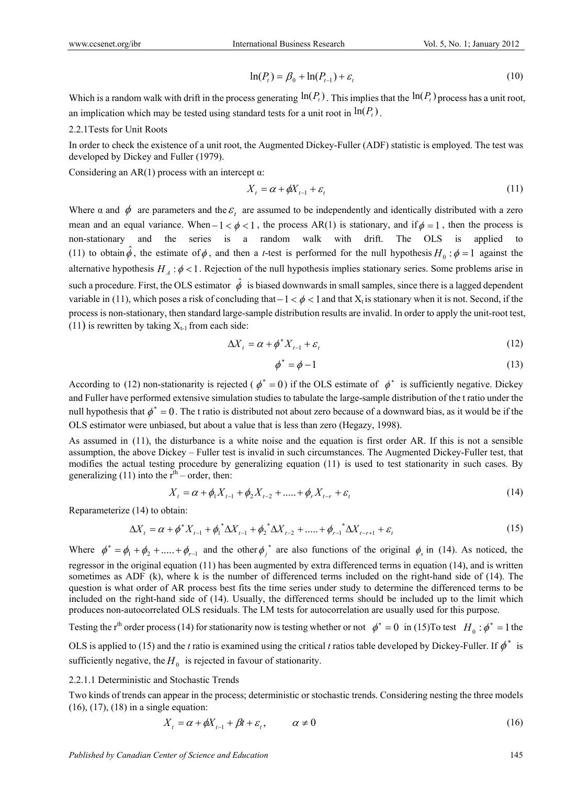$$
\ln(P_t) = \beta_0 + \ln(P_{t-1}) + \varepsilon_t \tag{10}
$$

Which is a random walk with drift in the process generating  $\ln(P_t)$ . This implies that the  $\ln(P_t)$  process has a unit root, an implication which may be tested using standard tests for a unit root in  $\ln(P_t)$ .

# 2.2.1Tests for Unit Roots

In order to check the existence of a unit root, the Augmented Dickey-Fuller (ADF) statistic is employed. The test was developed by Dickey and Fuller (1979).

Considering an AR(1) process with an intercept  $\alpha$ :

$$
X_t = \alpha + \phi X_{t-1} + \varepsilon_t \tag{11}
$$

Where  $\alpha$  and  $\phi$  are parameters and the  $\varepsilon$ <sub>t</sub> are assumed to be independently and identically distributed with a zero mean and an equal variance. When  $-1 < \phi < 1$ , the process AR(1) is stationary, and if  $\phi = 1$ , then the process is non-stationary and the series is a random walk with drift. The OLS is applied to (11) to obtain  $\hat{\phi}$ , the estimate of  $\phi$ , and then a *t*-test is performed for the null hypothesis  $H_0: \phi = 1$  against the alternative hypothesis  $H_A$ :  $\phi$  < 1. Rejection of the null hypothesis implies stationary series. Some problems arise in such a procedure. First, the OLS estimator  $\hat{\phi}$  is biased downwards in small samples, since there is a lagged dependent variable in (11), which poses a risk of concluding that  $-1 < \phi < 1$  and that  $X_t$  is stationary when it is not. Second, if the process is non-stationary, then standard large-sample distribution results are invalid. In order to apply the unit-root test, (11) is rewritten by taking  $X_{t-1}$  from each side:

$$
\Delta X_t = \alpha + \phi^* X_{t-1} + \varepsilon_t \tag{12}
$$

$$
\phi^* = \phi - 1 \tag{13}
$$

According to (12) non-stationarity is rejected ( $\phi^* = 0$ ) if the OLS estimate of  $\phi^*$  is sufficiently negative. Dickey and Fuller have performed extensive simulation studies to tabulate the large-sample distribution of the t ratio under the null hypothesis that  $\phi^* = 0$ . The t ratio is distributed not about zero because of a downward bias, as it would be if the OLS estimator were unbiased, but about a value that is less than zero (Hegazy, 1998).

As assumed in (11), the disturbance is a white noise and the equation is first order AR. If this is not a sensible assumption, the above Dickey – Fuller test is invalid in such circumstances. The Augmented Dickey-Fuller test, that modifies the actual testing procedure by generalizing equation (11) is used to test stationarity in such cases. By generalizing (11) into the  $r<sup>th</sup>$  – order, then:

$$
X_t = \alpha + \phi_1 X_{t-1} + \phi_2 X_{t-2} + \dots + \phi_r X_{t-r} + \varepsilon_t
$$
\n(14)

Reparameterize (14) to obtain:

$$
\Delta X_t = \alpha + \phi^* X_{t-1} + \phi_1^* \Delta X_{t-1} + \phi_2^* \Delta X_{t-2} + \dots + \phi_{r-1}^* \Delta X_{t-r+1} + \varepsilon_t
$$
\n(15)

Where  $\phi^* = \phi_1 + \phi_2 + \dots + \phi_{r-1}$  and the other  $\phi_j^*$  are also functions of the original  $\phi_s$  in (14). As noticed, the regressor in the original equation (11) has been augmented by extra differenced terms in equation (14), and is written sometimes as ADF (k), where k is the number of differenced terms included on the right-hand side of (14). The question is what order of AR process best fits the time series under study to determine the differenced terms to be included on the right-hand side of (14). Usually, the differenced terms should be included up to the limit which produces non-autocorrelated OLS residuals. The LM tests for autocorrelation are usually used for this purpose.

Testing the r<sup>th</sup> order process (14) for stationarity now is testing whether or not  $\phi^* = 0$  in (15)To test  $H_0 : \phi^* = 1$  the

OLS is applied to (15) and the *t* ratio is examined using the critical *t* ratios table developed by Dickey-Fuller. If  $\phi^*$  is sufficiently negative, the  $H_0$  is rejected in favour of stationarity.

# 2.2.1.1 Deterministic and Stochastic Trends

Two kinds of trends can appear in the process; deterministic or stochastic trends. Considering nesting the three models (16), (17), (18) in a single equation:

$$
X_t = \alpha + \phi X_{t-1} + \beta t + \varepsilon_t, \qquad \alpha \neq 0 \tag{16}
$$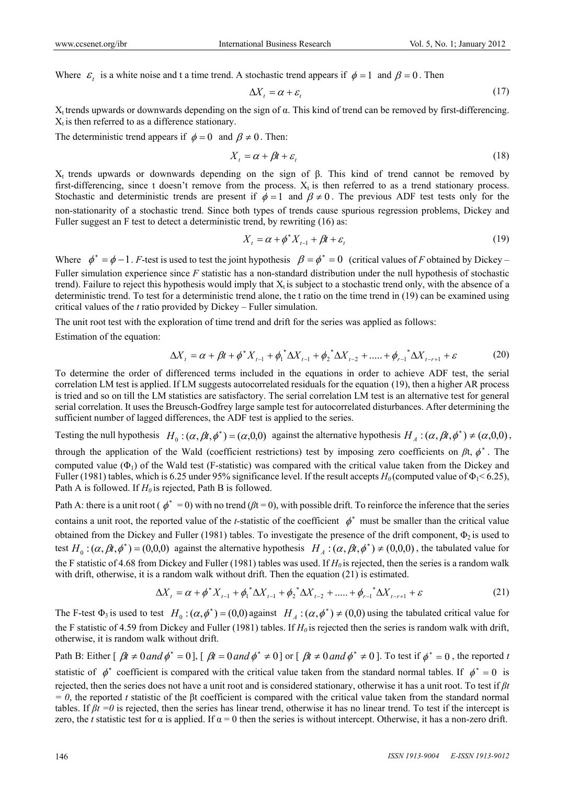Where  $\varepsilon_t$  is a white noise and t a time trend. A stochastic trend appears if  $\phi = 1$  and  $\beta = 0$ . Then

$$
\Delta X_t = \alpha + \varepsilon_t \tag{17}
$$

 $X_t$  trends upwards or downwards depending on the sign of  $\alpha$ . This kind of trend can be removed by first-differencing.  $X_t$  is then referred to as a difference stationary.

The deterministic trend appears if  $\phi = 0$  and  $\beta \neq 0$ . Then:

$$
X_t = \alpha + \beta t + \varepsilon_t \tag{18}
$$

 $X_t$  trends upwards or downwards depending on the sign of β. This kind of trend cannot be removed by first-differencing, since t doesn't remove from the process.  $X_t$  is then referred to as a trend stationary process. Stochastic and deterministic trends are present if  $\phi = 1$  and  $\beta \neq 0$ . The previous ADF test tests only for the non-stationarity of a stochastic trend. Since both types of trends cause spurious regression problems, Dickey and Fuller suggest an F test to detect a deterministic trend, by rewriting (16) as:

$$
X_t = \alpha + \phi^* X_{t-1} + \beta t + \varepsilon_t \tag{19}
$$

Where  $\phi^* = \phi - 1$ . *F*-test is used to test the joint hypothesis  $\beta = \phi^* = 0$  (critical values of *F* obtained by Dickey – Fuller simulation experience since *F* statistic has a non-standard distribution under the null hypothesis of stochastic trend). Failure to reject this hypothesis would imply that  $X_t$  is subject to a stochastic trend only, with the absence of a deterministic trend. To test for a deterministic trend alone, the t ratio on the time trend in (19) can be examined using critical values of the *t* ratio provided by Dickey – Fuller simulation.

The unit root test with the exploration of time trend and drift for the series was applied as follows:

Estimation of the equation:

$$
\Delta X_t = \alpha + \beta t + \phi^* X_{t-1} + \phi_1^* \Delta X_{t-1} + \phi_2^* \Delta X_{t-2} + \dots + \phi_{r-1}^* \Delta X_{t-r+1} + \varepsilon
$$
(20)

To determine the order of differenced terms included in the equations in order to achieve ADF test, the serial correlation LM test is applied. If LM suggests autocorrelated residuals for the equation (19), then a higher AR process is tried and so on till the LM statistics are satisfactory. The serial correlation LM test is an alternative test for general serial correlation. It uses the Breusch-Godfrey large sample test for autocorrelated disturbances. After determining the sufficient number of lagged differences, the ADF test is applied to the series.

Testing the null hypothesis  $H_0$ :  $(\alpha, \beta t, \phi^*) = (\alpha, 0, 0)$  against the alternative hypothesis  $H_A$ :  $(\alpha, \beta t, \phi^*) \neq (\alpha, 0, 0)$ , through the application of the Wald (coefficient restrictions) test by imposing zero coefficients on  $\beta t$ ,  $\phi^*$ . The computed value  $(\Phi_1)$  of the Wald test (F-statistic) was compared with the critical value taken from the Dickey and Fuller (1981) tables, which is 6.25 under 95% significance level. If the result accepts  $H_0$  (computed value of  $\Phi_1$  < 6.25), Path A is followed. If  $H_0$  is rejected, Path B is followed.

Path A: there is a unit root ( $\phi^* = 0$ ) with no trend ( $\beta t = 0$ ), with possible drift. To reinforce the inference that the series contains a unit root, the reported value of the *t*-statistic of the coefficient  $\phi^*$  must be smaller than the critical value obtained from the Dickey and Fuller (1981) tables. To investigate the presence of the drift component,  $\Phi_2$  is used to test  $H_0: (\alpha, \beta t, \phi^*) = (0,0,0)$  against the alternative hypothesis  $H_A: (\alpha, \beta t, \phi^*) \neq (0,0,0)$ , the tabulated value for the F statistic of 4.68 from Dickey and Fuller (1981) tables was used. If  $H_0$  is rejected, then the series is a random walk with drift, otherwise, it is a random walk without drift. Then the equation (21) is estimated.

$$
\Delta X_t = \alpha + \phi^* X_{t-1} + \phi_1^* \Delta X_{t-1} + \phi_2^* \Delta X_{t-2} + \dots + \phi_{r-1}^* \Delta X_{t-r+1} + \varepsilon
$$
\n(21)

The F-test  $\Phi_3$  is used to test  $H_0$ :  $(\alpha, \phi^*) = (0,0)$  against  $H_A$ :  $(\alpha, \phi^*) \neq (0,0)$  using the tabulated critical value for the F statistic of 4.59 from Dickey and Fuller (1981) tables. If  $H_0$  is rejected then the series is random walk with drift, otherwise, it is random walk without drift.

Path B: Either  $\left[\beta t \neq 0 \text{ and } \phi^* = 0\right]$ ,  $\left[\beta t = 0 \text{ and } \phi^* \neq 0\right]$  or  $\left[\beta t \neq 0 \text{ and } \phi^* \neq 0\right]$ . To test if  $\phi^* = 0$ , the reported *t* statistic of  $\phi^*$  coefficient is compared with the critical value taken from the standard normal tables. If  $\phi^* = 0$  is rejected, then the series does not have a unit root and is considered stationary, otherwise it has a unit root. To test if *βt*   $= 0$ , the reported *t* statistic of the βt coefficient is compared with the critical value taken from the standard normal tables. If *βt =0* is rejected, then the series has linear trend, otherwise it has no linear trend. To test if the intercept is zero, the *t* statistic test for  $\alpha$  is applied. If  $\alpha = 0$  then the series is without intercept. Otherwise, it has a non-zero drift.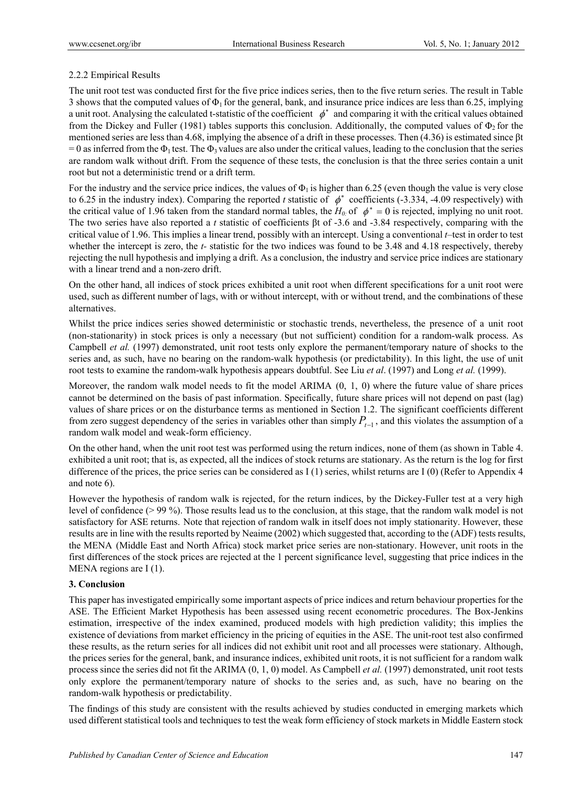# 2.2.2 Empirical Results

The unit root test was conducted first for the five price indices series, then to the five return series. The result in Table 3 shows that the computed values of  $\Phi_1$  for the general, bank, and insurance price indices are less than 6.25, implying a unit root. Analysing the calculated t-statistic of the coefficient  $\phi^*$  and comparing it with the critical values obtained from the Dickey and Fuller (1981) tables supports this conclusion. Additionally, the computed values of  $\Phi_2$  for the mentioned series are less than 4.68, implying the absence of a drift in these processes. Then (4.36) is estimated since βt = 0 as inferred from the  $\Phi_1$  test. The  $\Phi_3$  values are also under the critical values, leading to the conclusion that the series are random walk without drift. From the sequence of these tests, the conclusion is that the three series contain a unit root but not a deterministic trend or a drift term.

For the industry and the service price indices, the values of  $\Phi_1$  is higher than 6.25 (even though the value is very close to 6.25 in the industry index). Comparing the reported *t* statistic of  $\phi^*$  coefficients (-3.334, -4.09 respectively) with the critical value of 1.96 taken from the standard normal tables, the  $H_0$  of  $\phi^* = 0$  is rejected, implying no unit root. The two series have also reported a *t* statistic of coefficients βt of -3.6 and -3.84 respectively, comparing with the critical value of 1.96. This implies a linear trend, possibly with an intercept. Using a conventional *t*–test in order to test whether the intercept is zero, the *t*- statistic for the two indices was found to be 3.48 and 4.18 respectively, thereby rejecting the null hypothesis and implying a drift. As a conclusion, the industry and service price indices are stationary with a linear trend and a non-zero drift.

On the other hand, all indices of stock prices exhibited a unit root when different specifications for a unit root were used, such as different number of lags, with or without intercept, with or without trend, and the combinations of these alternatives.

Whilst the price indices series showed deterministic or stochastic trends, nevertheless, the presence of a unit root (non-stationarity) in stock prices is only a necessary (but not sufficient) condition for a random-walk process. As Campbell *et al.* (1997) demonstrated, unit root tests only explore the permanent/temporary nature of shocks to the series and, as such, have no bearing on the random-walk hypothesis (or predictability). In this light, the use of unit root tests to examine the random-walk hypothesis appears doubtful. See Liu *et al*. (1997) and Long *et al.* (1999).

Moreover, the random walk model needs to fit the model ARIMA (0, 1, 0) where the future value of share prices cannot be determined on the basis of past information. Specifically, future share prices will not depend on past (lag) values of share prices or on the disturbance terms as mentioned in Section 1.2. The significant coefficients different from zero suggest dependency of the series in variables other than simply  $P_{t-1}$ , and this violates the assumption of a random walk model and weak-form efficiency.

On the other hand, when the unit root test was performed using the return indices, none of them (as shown in Table 4. exhibited a unit root; that is, as expected, all the indices of stock returns are stationary. As the return is the log for first difference of the prices, the price series can be considered as I (1) series, whilst returns are I (0) (Refer to Appendix 4 and note 6).

However the hypothesis of random walk is rejected, for the return indices, by the Dickey-Fuller test at a very high level of confidence (> 99 %). Those results lead us to the conclusion, at this stage, that the random walk model is not satisfactory for ASE returns. Note that rejection of random walk in itself does not imply stationarity. However, these results are in line with the results reported by Neaime (2002) which suggested that, according to the (ADF) tests results, the MENA (Middle East and North Africa) stock market price series are non-stationary. However, unit roots in the first differences of the stock prices are rejected at the 1 percent significance level, suggesting that price indices in the MENA regions are I (1).

# **3. Conclusion**

This paper has investigated empirically some important aspects of price indices and return behaviour properties for the ASE. The Efficient Market Hypothesis has been assessed using recent econometric procedures. The Box-Jenkins estimation, irrespective of the index examined, produced models with high prediction validity; this implies the existence of deviations from market efficiency in the pricing of equities in the ASE. The unit-root test also confirmed these results, as the return series for all indices did not exhibit unit root and all processes were stationary. Although, the prices series for the general, bank, and insurance indices, exhibited unit roots, it is not sufficient for a random walk process since the series did not fit the ARIMA (0, 1, 0) model. As Campbell *et al.* (1997) demonstrated, unit root tests only explore the permanent/temporary nature of shocks to the series and, as such, have no bearing on the random-walk hypothesis or predictability.

The findings of this study are consistent with the results achieved by studies conducted in emerging markets which used different statistical tools and techniques to test the weak form efficiency of stock markets in Middle Eastern stock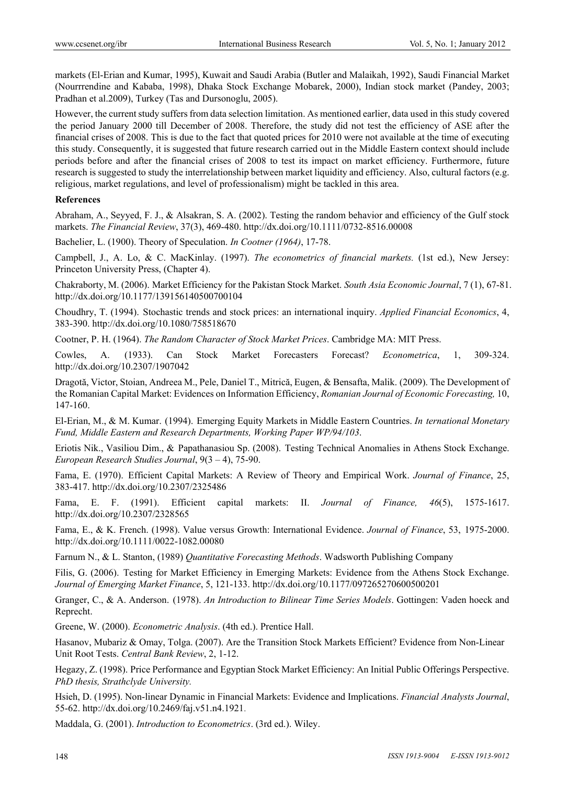markets (El-Erian and Kumar, 1995), Kuwait and Saudi Arabia (Butler and Malaikah, 1992), Saudi Financial Market (Nourrrendine and Kababa, 1998), Dhaka Stock Exchange Mobarek, 2000), Indian stock market (Pandey, 2003; Pradhan et al.2009), Turkey (Tas and Dursonoglu, 2005).

However, the current study suffers from data selection limitation. As mentioned earlier, data used in this study covered the period January 2000 till December of 2008. Therefore, the study did not test the efficiency of ASE after the financial crises of 2008. This is due to the fact that quoted prices for 2010 were not available at the time of executing this study. Consequently, it is suggested that future research carried out in the Middle Eastern context should include periods before and after the financial crises of 2008 to test its impact on market efficiency. Furthermore, future research is suggested to study the interrelationship between market liquidity and efficiency. Also, cultural factors (e.g. religious, market regulations, and level of professionalism) might be tackled in this area.

# **References**

Abraham, A., Seyyed, F. J., & Alsakran, S. A. (2002). Testing the random behavior and efficiency of the Gulf stock markets. *The Financial Review*, 37(3), 469-480. http://dx.doi.org/10.1111/0732-8516.00008

Bachelier, L. (1900). Theory of Speculation. *In Cootner (1964)*, 17-78.

Campbell, J., A. Lo, & C. MacKinlay. (1997). *The econometrics of financial markets.* (1st ed.), New Jersey: Princeton University Press, (Chapter 4).

Chakraborty, M. (2006). Market Efficiency for the Pakistan Stock Market. *South Asia Economic Journal*, 7 (1), 67-81. http://dx.doi.org/10.1177/139156140500700104

Choudhry, T. (1994). Stochastic trends and stock prices: an international inquiry. *Applied Financial Economics*, 4, 383-390. http://dx.doi.org/10.1080/758518670

Cootner, P. H. (1964). *The Random Character of Stock Market Prices*. Cambridge MA: MIT Press.

Cowles, A. (1933). Can Stock Market Forecasters Forecast? *Econometrica*, 1, 309-324. http://dx.doi.org/10.2307/1907042

Dragotă, Victor, Stoian, Andreea M., Pele, Daniel T., Mitrică, Eugen, & Bensafta, Malik. (2009). The Development of the Romanian Capital Market: Evidences on Information Efficiency, *Romanian Journal of Economic Forecasting,* 10, 147-160.

El-Erian, M., & M. Kumar. (1994). Emerging Equity Markets in Middle Eastern Countries. *In ternational Monetary Fund, Middle Eastern and Research Departments, Working Paper WP/94/103*.

Eriotis Nik., Vasiliou Dim., & Papathanasiou Sp. (2008). Testing Technical Anomalies in Athens Stock Exchange. *European Research Studies Journal*, 9(3 – 4), 75-90.

Fama, E. (1970). Efficient Capital Markets: A Review of Theory and Empirical Work. *Journal of Finance*, 25, 383-417. http://dx.doi.org/10.2307/2325486

Fama, E. F. (1991). Efficient capital markets: II. *Journal of Finance, 46*(5), 1575-1617. http://dx.doi.org/10.2307/2328565

Fama, E., & K. French. (1998). Value versus Growth: International Evidence. *Journal of Finance*, 53, 1975-2000. http://dx.doi.org/10.1111/0022-1082.00080

Farnum N., & L. Stanton, (1989) *Quantitative Forecasting Methods*. Wadsworth Publishing Company

Filis, G. (2006). Testing for Market Efficiency in Emerging Markets: Evidence from the Athens Stock Exchange. *Journal of Emerging Market Finance*, 5, 121-133. http://dx.doi.org/10.1177/097265270600500201

Granger, C., & A. Anderson. (1978). *An Introduction to Bilinear Time Series Models*. Gottingen: Vaden hoeck and Reprecht.

Greene, W. (2000). *Econometric Analysis*. (4th ed.). Prentice Hall.

Hasanov, Mubariz & Omay, Tolga. (2007). Are the Transition Stock Markets Efficient? Evidence from Non-Linear Unit Root Tests. *Central Bank Review*, 2, 1-12.

Hegazy, Z. (1998). Price Performance and Egyptian Stock Market Efficiency: An Initial Public Offerings Perspective. *PhD thesis, Strathclyde University.* 

Hsieh, D. (1995). Non-linear Dynamic in Financial Markets: Evidence and Implications. *Financial Analysts Journal*, 55-62. http://dx.doi.org/10.2469/faj.v51.n4.1921.

Maddala, G. (2001). *Introduction to Econometrics*. (3rd ed.). Wiley.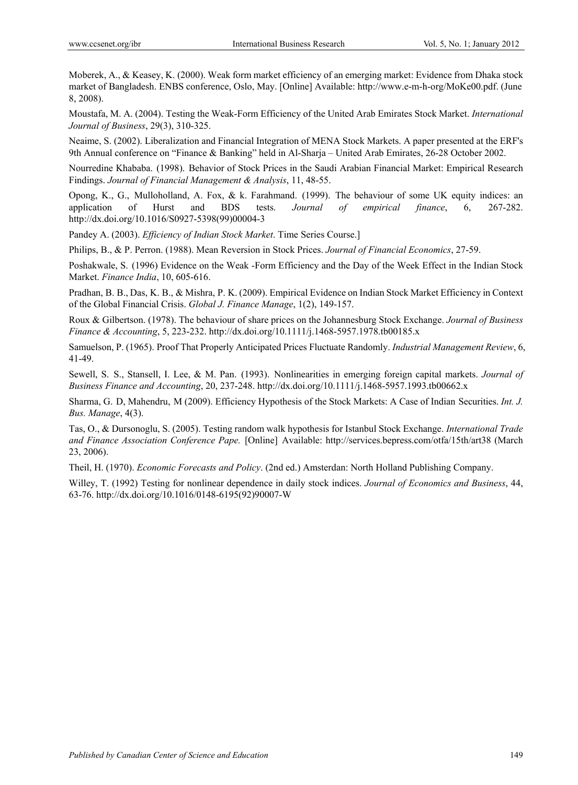Moberek, A., & Keasey, K. (2000). Weak form market efficiency of an emerging market: Evidence from Dhaka stock market of Bangladesh. ENBS conference, Oslo, May. [Online] Available: http://www.e-m-h-org/MoKe00.pdf. (June 8, 2008).

Moustafa, M. A. (2004). Testing the Weak-Form Efficiency of the United Arab Emirates Stock Market. *International Journal of Business*, 29(3), 310-325.

Neaime, S. (2002). Liberalization and Financial Integration of MENA Stock Markets. A paper presented at the ERF's 9th Annual conference on "Finance & Banking" held in Al-Sharja – United Arab Emirates, 26-28 October 2002.

Nourredine Khababa. (1998). Behavior of Stock Prices in the Saudi Arabian Financial Market: Empirical Research Findings. *Journal of Financial Management & Analysis*, 11, 48-55.

Opong, K., G., Mulloholland, A. Fox, & k. Farahmand. (1999). The behaviour of some UK equity indices: an application of Hurst and BDS tests. *Journal of empirical finance*, 6, 267-282. http://dx.doi.org/10.1016/S0927-5398(99)00004-3

Pandey A. (2003). *Efficiency of Indian Stock Market*. Time Series Course.]

Philips, B., & P. Perron. (1988). Mean Reversion in Stock Prices. *Journal of Financial Economics*, 27-59.

Poshakwale, S. (1996) Evidence on the Weak -Form Efficiency and the Day of the Week Effect in the Indian Stock Market. *Finance India*, 10, 605-616.

Pradhan, B. B., Das, K. B., & Mishra, P. K. (2009). Empirical Evidence on Indian Stock Market Efficiency in Context of the Global Financial Crisis. *Global J. Finance Manage*, 1(2), 149-157.

Roux & Gilbertson. (1978). The behaviour of share prices on the Johannesburg Stock Exchange. *Journal of Business Finance & Accounting*, 5, 223-232. http://dx.doi.org/10.1111/j.1468-5957.1978.tb00185.x

Samuelson, P. (1965). Proof That Properly Anticipated Prices Fluctuate Randomly. *Industrial Management Review*, 6, 41-49.

Sewell, S. S., Stansell, I. Lee, & M. Pan. (1993). Nonlinearities in emerging foreign capital markets. *Journal of Business Finance and Accounting*, 20, 237-248. http://dx.doi.org/10.1111/j.1468-5957.1993.tb00662.x

Sharma, G. D, Mahendru, M (2009). Efficiency Hypothesis of the Stock Markets: A Case of Indian Securities. *Int. J. Bus. Manage*, 4(3).

Tas, O., & Dursonoglu, S. (2005). Testing random walk hypothesis for Istanbul Stock Exchange. *International Trade and Finance Association Conference Pape.* [Online] Available: http://services.bepress.com/otfa/15th/art38 (March 23, 2006).

Theil, H. (1970). *Economic Forecasts and Policy*. (2nd ed.) Amsterdan: North Holland Publishing Company.

Willey, T. (1992) Testing for nonlinear dependence in daily stock indices. *Journal of Economics and Business*, 44, 63-76. http://dx.doi.org/10.1016/0148-6195(92)90007-W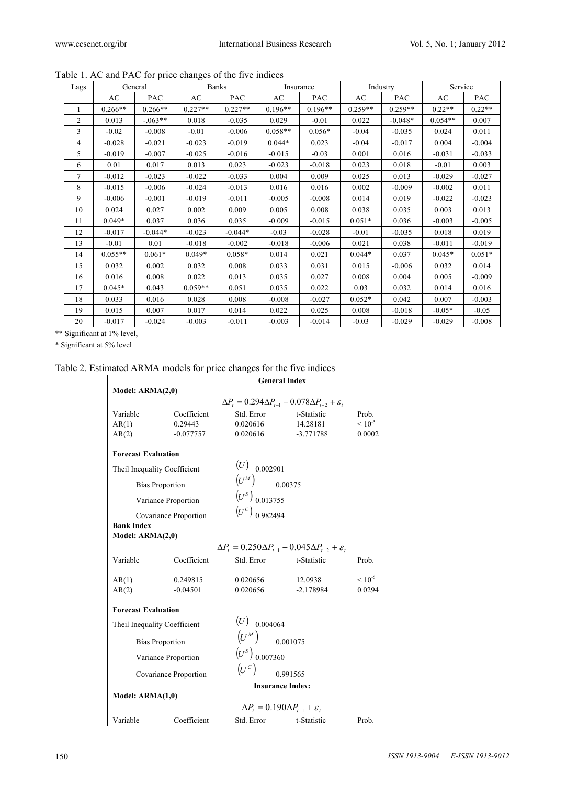| Lags           |           | General    |           | <b>Banks</b> |           | Insurance |           | Industry  | Service   |          |
|----------------|-----------|------------|-----------|--------------|-----------|-----------|-----------|-----------|-----------|----------|
|                | AC        | PAC        | AC        | PAC          | AC        | PAC       | AC        | PAC       | AC        | PAC      |
|                | $0.266**$ | $0.266**$  | $0.227**$ | $0.227**$    | $0.196**$ | $0.196**$ | $0.259**$ | $0.259**$ | $0.22**$  | $0.22**$ |
| $\overline{c}$ | 0.013     | $-0.063**$ | 0.018     | $-0.035$     | 0.029     | $-0.01$   | 0.022     | $-0.048*$ | $0.054**$ | 0.007    |
| 3              | $-0.02$   | $-0.008$   | $-0.01$   | $-0.006$     | $0.058**$ | $0.056*$  | $-0.04$   | $-0.035$  | 0.024     | 0.011    |
| $\overline{4}$ | $-0.028$  | $-0.021$   | $-0.023$  | $-0.019$     | $0.044*$  | 0.023     | $-0.04$   | $-0.017$  | 0.004     | $-0.004$ |
| 5              | $-0.019$  | $-0.007$   | $-0.025$  | $-0.016$     | $-0.015$  | $-0.03$   | 0.001     | 0.016     | $-0.031$  | $-0.033$ |
| 6              | 0.01      | 0.017      | 0.013     | 0.023        | $-0.023$  | $-0.018$  | 0.023     | 0.018     | $-0.01$   | 0.003    |
| $\overline{7}$ | $-0.012$  | $-0.023$   | $-0.022$  | $-0.033$     | 0.004     | 0.009     | 0.025     | 0.013     | $-0.029$  | $-0.027$ |
| 8              | $-0.015$  | $-0.006$   | $-0.024$  | $-0.013$     | 0.016     | 0.016     | 0.002     | $-0.009$  | $-0.002$  | 0.011    |
| 9              | $-0.006$  | $-0.001$   | $-0.019$  | $-0.011$     | $-0.005$  | $-0.008$  | 0.014     | 0.019     | $-0.022$  | $-0.023$ |
| 10             | 0.024     | 0.027      | 0.002     | 0.009        | 0.005     | 0.008     | 0.038     | 0.035     | 0.003     | 0.013    |
| 11             | $0.049*$  | 0.037      | 0.036     | 0.035        | $-0.009$  | $-0.015$  | $0.051*$  | 0.036     | $-0.003$  | $-0.005$ |
| 12             | $-0.017$  | $-0.044*$  | $-0.023$  | $-0.044*$    | $-0.03$   | $-0.028$  | $-0.01$   | $-0.035$  | 0.018     | 0.019    |
| 13             | $-0.01$   | 0.01       | $-0.018$  | $-0.002$     | $-0.018$  | $-0.006$  | 0.021     | 0.038     | $-0.011$  | $-0.019$ |
| 14             | $0.055**$ | $0.061*$   | $0.049*$  | $0.058*$     | 0.014     | 0.021     | $0.044*$  | 0.037     | $0.045*$  | $0.051*$ |
| 15             | 0.032     | 0.002      | 0.032     | 0.008        | 0.033     | 0.031     | 0.015     | $-0.006$  | 0.032     | 0.014    |
| 16             | 0.016     | 0.008      | 0.022     | 0.013        | 0.035     | 0.027     | 0.008     | 0.004     | 0.005     | $-0.009$ |
| 17             | $0.045*$  | 0.043      | $0.059**$ | 0.051        | 0.035     | 0.022     | 0.03      | 0.032     | 0.014     | 0.016    |
| 18             | 0.033     | 0.016      | 0.028     | 0.008        | $-0.008$  | $-0.027$  | $0.052*$  | 0.042     | 0.007     | $-0.003$ |
| 19             | 0.015     | 0.007      | 0.017     | 0.014        | 0.022     | 0.025     | 0.008     | $-0.018$  | $-0.05*$  | $-0.05$  |
| 20             | $-0.017$  | $-0.024$   | $-0.003$  | $-0.011$     | $-0.003$  | $-0.014$  | $-0.03$   | $-0.029$  | $-0.029$  | $-0.008$ |

**T**able 1. AC and PAC for price changes of the five indices

\*\* Significant at 1% level,

\* Significant at 5% level

# Table 2. Estimated ARMA models for price changes for the five indices

| <b>General Index</b>                  |                         |                                                                      |                                                                            |                |  |
|---------------------------------------|-------------------------|----------------------------------------------------------------------|----------------------------------------------------------------------------|----------------|--|
| Model: ARMA(2,0)                      |                         |                                                                      |                                                                            |                |  |
|                                       |                         |                                                                      | $\Delta P_t = 0.294 \Delta P_{t-1} - 0.078 \Delta P_{t-2} + \varepsilon_t$ |                |  |
| Variable                              | Coefficient             | Std. Error                                                           | t-Statistic                                                                | Prob.          |  |
| AR(1)                                 | 0.29443                 | 0.020616                                                             | 14.28181                                                                   | $\leq 10^{-5}$ |  |
| AR(2)                                 | $-0.077757$             | 0.020616                                                             | $-3.771788$                                                                | 0.0002         |  |
| <b>Forecast Evaluation</b>            |                         |                                                                      |                                                                            |                |  |
| Theil Inequality Coefficient          |                         | $(U)$ 0.002901                                                       |                                                                            |                |  |
|                                       | <b>Bias Proportion</b>  | $\left(U^{\scriptscriptstyle M}\right)_{\qquad \quad \  \, 0.00375}$ |                                                                            |                |  |
|                                       | Variance Proportion     | $(U^s)$ 0.013755                                                     |                                                                            |                |  |
|                                       |                         | $(U^{c})_{0.982494}$                                                 |                                                                            |                |  |
|                                       | Covariance Proportion   |                                                                      |                                                                            |                |  |
| <b>Bank Index</b><br>Model: ARMA(2,0) |                         |                                                                      |                                                                            |                |  |
|                                       |                         |                                                                      | $\Delta P_t = 0.250 \Delta P_{t-1} - 0.045 \Delta P_{t-2} + \varepsilon_t$ |                |  |
|                                       |                         |                                                                      |                                                                            |                |  |
| Variable                              | Coefficient             | Std. Error                                                           | t-Statistic                                                                | Prob.          |  |
| AR(1)                                 | 0.249815                | 0.020656                                                             | 12.0938                                                                    | $\leq 10^{-5}$ |  |
| AR(2)                                 | $-0.04501$              | 0.020656                                                             | $-2.178984$                                                                | 0.0294         |  |
| <b>Forecast Evaluation</b>            |                         |                                                                      |                                                                            |                |  |
| Theil Inequality Coefficient          |                         | $(U)$ 0.004064                                                       |                                                                            |                |  |
|                                       | <b>Bias Proportion</b>  | $\left(U^{\scriptscriptstyle M}\right)_{\hspace{15mm}0.001075}$      |                                                                            |                |  |
|                                       | Variance Proportion     | $(U^s)$ <sub>0.007360</sub>                                          |                                                                            |                |  |
|                                       |                         | $(U^c)$                                                              |                                                                            |                |  |
|                                       | Covariance Proportion   |                                                                      | 0.991565                                                                   |                |  |
|                                       | <b>Insurance Index:</b> |                                                                      |                                                                            |                |  |
| Model: $ARMA(1,0)$                    |                         |                                                                      |                                                                            |                |  |
|                                       |                         | $\Delta P_t = 0.190 \Delta P_{t-1} + \varepsilon_t$                  |                                                                            |                |  |
| Variable                              | Coefficient             | Std. Error                                                           | t-Statistic                                                                | Prob.          |  |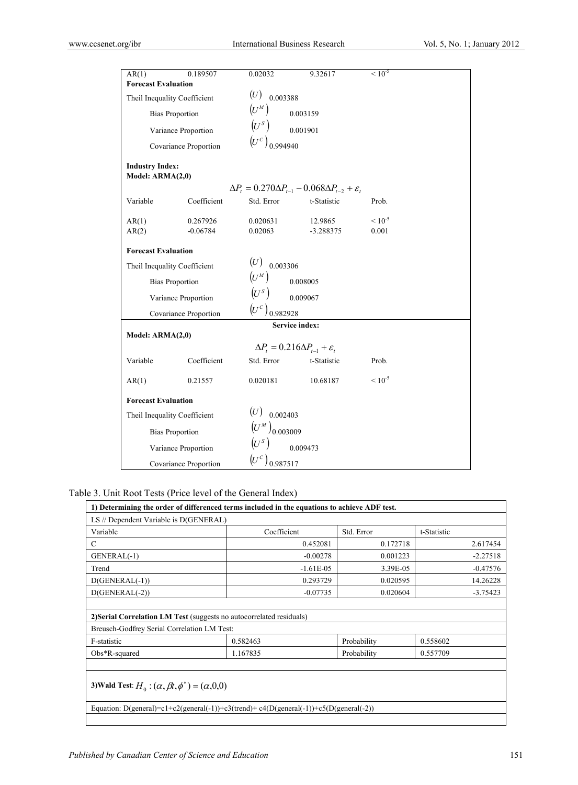| AR(1)                                      | 0.189507              | 0.02032                                 | 9.32617                                                                    | $< 10^{-5}$ |  |
|--------------------------------------------|-----------------------|-----------------------------------------|----------------------------------------------------------------------------|-------------|--|
| <b>Forecast Evaluation</b>                 |                       |                                         |                                                                            |             |  |
| Theil Inequality Coefficient               |                       | (U)<br>0.003388                         |                                                                            |             |  |
| <b>Bias Proportion</b>                     |                       | $\overline{(U^M)}$                      | 0.003159                                                                   |             |  |
| Variance Proportion                        |                       | $\left(U^s\right)$                      | 0.001901                                                                   |             |  |
|                                            | Covariance Proportion | $(U^{c})_{0.994940}$                    |                                                                            |             |  |
| <b>Industry Index:</b><br>Model: ARMA(2,0) |                       |                                         |                                                                            |             |  |
|                                            |                       |                                         | $\Delta P_t = 0.270 \Delta P_{t-1} - 0.068 \Delta P_{t-2} + \varepsilon_t$ |             |  |
| Variable                                   | Coefficient           | Std. Error                              | t-Statistic                                                                | Prob.       |  |
| AR(1)                                      | 0.267926              | 0.020631                                | 12.9865                                                                    | $< 10^{-5}$ |  |
| AR(2)                                      | $-0.06784$            | 0.02063                                 | $-3.288375$                                                                | 0.001       |  |
| <b>Forecast Evaluation</b>                 |                       |                                         |                                                                            |             |  |
| Theil Inequality Coefficient               |                       | (U)<br>0.003306                         |                                                                            |             |  |
| <b>Bias Proportion</b>                     |                       | $(U^M)$                                 | 0.008005                                                                   |             |  |
| Variance Proportion                        |                       | $(U^s)$                                 | 0.009067                                                                   |             |  |
|                                            | Covariance Proportion | $(U^{c})_{0.982928}$                    |                                                                            |             |  |
|                                            |                       |                                         | <b>Service index:</b>                                                      |             |  |
| Model: $ARMA(2,0)$                         |                       |                                         |                                                                            |             |  |
|                                            |                       |                                         | $\Delta P_t = 0.216 \Delta P_{t-1} + \varepsilon_t$                        |             |  |
| Variable                                   | Coefficient           | Std. Error                              | t-Statistic                                                                | Prob.       |  |
| AR(1)                                      | 0.21557               | 0.020181                                | 10.68187                                                                   | $< 10^{-5}$ |  |
| <b>Forecast Evaluation</b>                 |                       |                                         |                                                                            |             |  |
| Theil Inequality Coefficient               |                       | (U)<br>0.002403                         |                                                                            |             |  |
| <b>Bias Proportion</b>                     |                       | $(U^{\scriptscriptstyle M})_{0.003009}$ |                                                                            |             |  |
| Variance Proportion                        |                       | $(U^s)$                                 | 0.009473                                                                   |             |  |
|                                            | Covariance Proportion | $\left(\!\sigma^c\right)_{0.987517}$    |                                                                            |             |  |

Table 3. Unit Root Tests (Price level of the General Index)

| 1) Determining the order of differenced terms included in the equations to achieve ADF test. |             |             |             |  |
|----------------------------------------------------------------------------------------------|-------------|-------------|-------------|--|
| LS // Dependent Variable is D(GENERAL)                                                       |             |             |             |  |
| Variable                                                                                     | Coefficient | Std. Error  | t-Statistic |  |
| C                                                                                            | 0.452081    | 0.172718    | 2.617454    |  |
| GENERAL(-1)                                                                                  | $-0.00278$  | 0.001223    | $-2.27518$  |  |
| Trend                                                                                        | $-1.61E-05$ | 3.39E-05    | $-0.47576$  |  |
| $D(GENERAL(-1))$                                                                             | 0.293729    | 0.020595    | 14.26228    |  |
| $D(GENERAL(-2))$                                                                             | $-0.07735$  | 0.020604    | $-3.75423$  |  |
|                                                                                              |             |             |             |  |
| 2) Serial Correlation LM Test (suggests no autocorrelated residuals)                         |             |             |             |  |
| Breusch-Godfrey Serial Correlation LM Test:                                                  |             |             |             |  |
| F-statistic                                                                                  | 0.582463    | Probability | 0.558602    |  |
| $Obs*R$ -squared                                                                             | 1.167835    | Probability | 0.557709    |  |
|                                                                                              |             |             |             |  |
| 3) Wald Test: $H_0$ : $(\alpha, \beta t, \phi^*)$ = $(\alpha, 0, 0)$                         |             |             |             |  |
|                                                                                              |             |             |             |  |

Equation: D(general)=c1+c2(general(-1))+c3(trend)+ c4(D(general(-1))+c5(D(general(-2))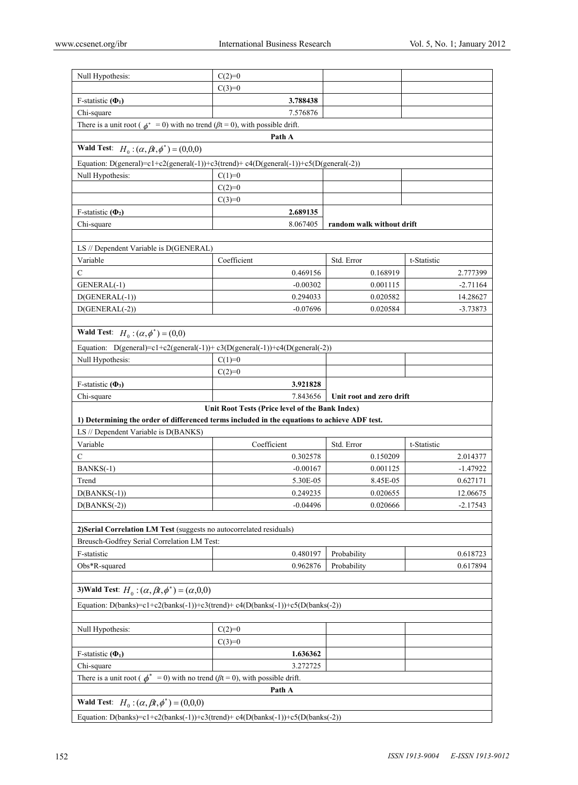| Null Hypothesis:                                                                                                                                | $C(2)=0$                                        |                           |             |  |  |
|-------------------------------------------------------------------------------------------------------------------------------------------------|-------------------------------------------------|---------------------------|-------------|--|--|
|                                                                                                                                                 | $C(3)=0$                                        |                           |             |  |  |
| F-statistic $(\Phi_1)$                                                                                                                          | 3.788438                                        |                           |             |  |  |
| Chi-square                                                                                                                                      | 7.576876                                        |                           |             |  |  |
| There is a unit root ( $\phi^* = 0$ ) with no trend ( $\beta t = 0$ ), with possible drift.                                                     |                                                 |                           |             |  |  |
|                                                                                                                                                 | Path A                                          |                           |             |  |  |
| <b>Wald Test:</b> $H_0: (\alpha, \beta t, \phi^*) = (0, 0, 0)$                                                                                  |                                                 |                           |             |  |  |
| Equation: D(general)= $c1+c2$ (general(-1))+ $c3$ (trend)+ $c4(D$ (general(-1))+ $c5(D$ (general(-2))                                           |                                                 |                           |             |  |  |
| Null Hypothesis:                                                                                                                                | $C(1)=0$                                        |                           |             |  |  |
|                                                                                                                                                 | $C(2)=0$                                        |                           |             |  |  |
|                                                                                                                                                 | $C(3)=0$                                        |                           |             |  |  |
| F-statistic $(\Phi_2)$                                                                                                                          | 2.689135                                        |                           |             |  |  |
| Chi-square                                                                                                                                      | 8.067405                                        | random walk without drift |             |  |  |
|                                                                                                                                                 |                                                 |                           |             |  |  |
| LS // Dependent Variable is D(GENERAL)                                                                                                          |                                                 |                           |             |  |  |
| Variable                                                                                                                                        | Coefficient                                     | Std. Error                | t-Statistic |  |  |
| C                                                                                                                                               | 0.469156                                        | 0.168919                  | 2.777399    |  |  |
| GENERAL(-1)                                                                                                                                     | $-0.00302$                                      | 0.001115                  | $-2.71164$  |  |  |
| $D(GENERAL(-1))$                                                                                                                                | 0.294033                                        | 0.020582                  | 14.28627    |  |  |
| $D(GENERAL(-2))$                                                                                                                                | $-0.07696$                                      | 0.020584                  | $-3.73873$  |  |  |
|                                                                                                                                                 |                                                 |                           |             |  |  |
| <b>Wald Test:</b> $H_0: (\alpha, \phi^*) = (0,0)$                                                                                               |                                                 |                           |             |  |  |
| Equation: D(general)=c1+c2(general(-1))+c3(D(general(-1))+c4(D(general(-2))                                                                     |                                                 |                           |             |  |  |
| Null Hypothesis:                                                                                                                                | $C(1)=0$                                        |                           |             |  |  |
|                                                                                                                                                 | $C(2)=0$                                        |                           |             |  |  |
| F-statistic $(\Phi_3)$                                                                                                                          | 3.921828                                        |                           |             |  |  |
| Chi-square<br>7.843656<br>Unit root and zero drift                                                                                              |                                                 |                           |             |  |  |
|                                                                                                                                                 |                                                 |                           |             |  |  |
|                                                                                                                                                 | Unit Root Tests (Price level of the Bank Index) |                           |             |  |  |
| 1) Determining the order of differenced terms included in the equations to achieve ADF test.                                                    |                                                 |                           |             |  |  |
| LS // Dependent Variable is D(BANKS)                                                                                                            |                                                 |                           |             |  |  |
| Variable                                                                                                                                        | Coefficient                                     | Std. Error                | t-Statistic |  |  |
| C                                                                                                                                               | 0.302578                                        | 0.150209                  | 2.014377    |  |  |
| $BANKS(-1)$                                                                                                                                     | $-0.00167$                                      | 0.001125                  | $-1.47922$  |  |  |
| Trend                                                                                                                                           | 5.30E-05                                        | 8.45E-05                  | 0.627171    |  |  |
| $D(BANKS(-1))$                                                                                                                                  | 0.249235                                        | 0.020655                  | 12.06675    |  |  |
| $D(BANKS(-2))$                                                                                                                                  | $-0.04496$                                      | 0.020666                  | $-2.17543$  |  |  |
|                                                                                                                                                 |                                                 |                           |             |  |  |
| 2) Serial Correlation LM Test (suggests no autocorrelated residuals)                                                                            |                                                 |                           |             |  |  |
| Breusch-Godfrey Serial Correlation LM Test:                                                                                                     |                                                 |                           |             |  |  |
| F-statistic                                                                                                                                     | 0.480197                                        | Probability               | 0.618723    |  |  |
| Obs*R-squared                                                                                                                                   | 0.962876                                        | Probability               | 0.617894    |  |  |
|                                                                                                                                                 |                                                 |                           |             |  |  |
| 3) Wald Test: $H_0: (\alpha, \beta t, \phi^*) = (\alpha, 0, 0)$                                                                                 |                                                 |                           |             |  |  |
| Equation: D(banks)=c1+c2(banks(-1))+c3(trend)+c4(D(banks(-1))+c5(D(banks(-2))                                                                   |                                                 |                           |             |  |  |
|                                                                                                                                                 |                                                 |                           |             |  |  |
| Null Hypothesis:                                                                                                                                | $C(2)=0$                                        |                           |             |  |  |
|                                                                                                                                                 | $C(3)=0$                                        |                           |             |  |  |
| F-statistic $(\Phi_1)$                                                                                                                          | 1.636362                                        |                           |             |  |  |
| Chi-square                                                                                                                                      | 3.272725                                        |                           |             |  |  |
| There is a unit root ( $\phi^* = 0$ ) with no trend ( $\beta t = 0$ ), with possible drift.                                                     |                                                 |                           |             |  |  |
|                                                                                                                                                 | Path A                                          |                           |             |  |  |
| <b>Wald Test:</b> $H_0: (\alpha, \beta t, \phi^*) = (0, 0, 0)$<br>Equation: D(banks)=c1+c2(banks(-1))+c3(trend)+c4(D(banks(-1))+c5(D(banks(-2)) |                                                 |                           |             |  |  |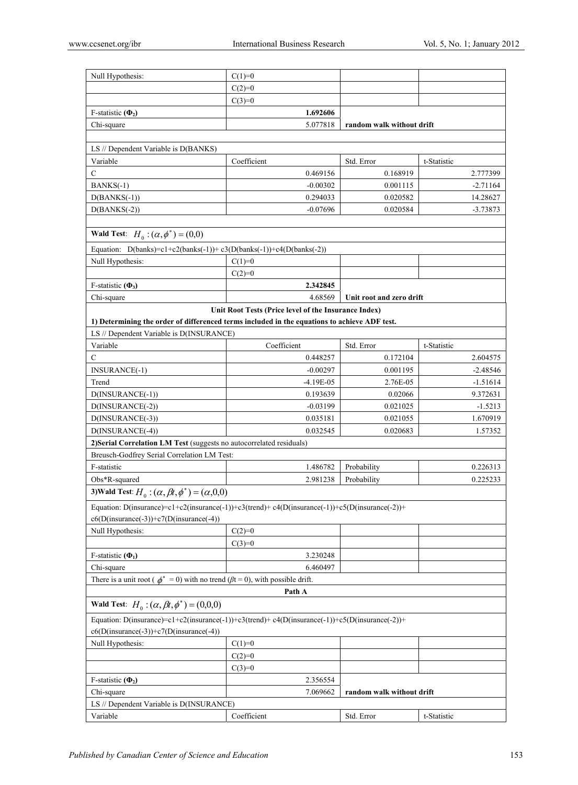| Null Hypothesis:                                                                               | $C(1)=0$                                             |                           |             |  |  |
|------------------------------------------------------------------------------------------------|------------------------------------------------------|---------------------------|-------------|--|--|
|                                                                                                | $C(2)=0$                                             |                           |             |  |  |
|                                                                                                | $C(3)=0$                                             |                           |             |  |  |
| F-statistic $(\Phi_2)$                                                                         | 1.692606                                             |                           |             |  |  |
| Chi-square                                                                                     | 5.077818                                             | random walk without drift |             |  |  |
|                                                                                                |                                                      |                           |             |  |  |
| LS // Dependent Variable is D(BANKS)                                                           |                                                      |                           |             |  |  |
| Variable                                                                                       | Coefficient                                          | Std. Error                | t-Statistic |  |  |
| С                                                                                              | 0.469156                                             | 0.168919                  | 2.777399    |  |  |
| $BANKS(-1)$                                                                                    | $-0.00302$                                           | 0.001115                  | $-2.71164$  |  |  |
| $D(BANKS(-1))$                                                                                 | 0.294033                                             | 0.020582                  | 14.28627    |  |  |
| $D(BANKS(-2))$                                                                                 | $-0.07696$                                           | 0.020584                  | $-3.73873$  |  |  |
|                                                                                                |                                                      |                           |             |  |  |
| <b>Wald Test:</b> $H_0$ : $(\alpha, \phi^*)$ = (0,0)                                           |                                                      |                           |             |  |  |
| Equation: D(banks)=c1+c2(banks(-1))+c3(D(banks(-1))+c4(D(banks(-2))                            |                                                      |                           |             |  |  |
| Null Hypothesis:                                                                               | $C(1)=0$                                             |                           |             |  |  |
|                                                                                                | $C(2)=0$                                             |                           |             |  |  |
| F-statistic $(\Phi_3)$                                                                         | 2.342845                                             |                           |             |  |  |
| Chi-square                                                                                     | 4.68569                                              | Unit root and zero drift  |             |  |  |
|                                                                                                | Unit Root Tests (Price level of the Insurance Index) |                           |             |  |  |
| 1) Determining the order of differenced terms included in the equations to achieve ADF test.   |                                                      |                           |             |  |  |
| LS // Dependent Variable is D(INSURANCE)                                                       |                                                      |                           |             |  |  |
| Variable                                                                                       | Coefficient                                          | Std. Error                | t-Statistic |  |  |
| C                                                                                              | 0.448257                                             | 0.172104                  | 2.604575    |  |  |
| <b>INSURANCE(-1)</b>                                                                           | $-0.00297$                                           | 0.001195                  | $-2.48546$  |  |  |
| Trend                                                                                          | $-4.19E-05$                                          | 2.76E-05                  | $-1.51614$  |  |  |
| $D(INSURALCE(-1))$                                                                             | 0.193639                                             | 0.02066                   | 9.372631    |  |  |
| D(INSURANCE(-2))                                                                               | $-0.03199$                                           | 0.021025                  | $-1.5213$   |  |  |
| D(INSURANCE(-3))                                                                               | 0.035181                                             | 0.021055                  | 1.670919    |  |  |
| D(INSURANCE(-4))                                                                               | 0.032545                                             | 0.020683                  | 1.57352     |  |  |
| 2) Serial Correlation LM Test (suggests no autocorrelated residuals)                           |                                                      |                           |             |  |  |
| Breusch-Godfrey Serial Correlation LM Test:                                                    |                                                      |                           |             |  |  |
| F-statistic                                                                                    | 1.486782                                             | Probability               | 0.226313    |  |  |
| $Obs*R$ -squared                                                                               | 2.981238                                             | Probability               | 0.225233    |  |  |
|                                                                                                |                                                      |                           |             |  |  |
| 3) Wald Test: $H_0$ : $(\alpha, \beta t, \phi^*)$ = $(\alpha, 0, 0)$                           |                                                      |                           |             |  |  |
| Equation: D(insurance)=c1+c2(insurance(-1))+c3(trend)+c4(D(insurance(-1))+c5(D(insurance(-2))+ |                                                      |                           |             |  |  |
| $c6(D(insurance(-3)) + c7(D(insurance(-4)))$                                                   |                                                      |                           |             |  |  |
| Null Hypothesis:                                                                               | $C(2)=0$                                             |                           |             |  |  |
|                                                                                                | $C(3)=0$                                             |                           |             |  |  |
| F-statistic $(\Phi_1)$                                                                         | 3.230248                                             |                           |             |  |  |
| Chi-square                                                                                     | 6.460497                                             |                           |             |  |  |
| There is a unit root ( $\phi^* = 0$ ) with no trend ( $\beta t = 0$ ), with possible drift.    |                                                      |                           |             |  |  |
|                                                                                                | Path A                                               |                           |             |  |  |
| <b>Wald Test:</b> $H_0: (\alpha, \beta t, \phi^*) = (0, 0, 0)$                                 |                                                      |                           |             |  |  |
| Equation: D(insurance)=c1+c2(insurance(-1))+c3(trend)+c4(D(insurance(-1))+c5(D(insurance(-2))+ |                                                      |                           |             |  |  |
| $c6(D(insurance(-3)) + c7(D(insurance(-4)))$                                                   |                                                      |                           |             |  |  |
| Null Hypothesis:                                                                               | $C(1)=0$                                             |                           |             |  |  |
|                                                                                                | $C(2)=0$                                             |                           |             |  |  |
|                                                                                                | $C(3)=0$                                             |                           |             |  |  |
| F-statistic $(\Phi_2)$                                                                         | 2.356554                                             |                           |             |  |  |
| Chi-square                                                                                     | 7.069662                                             | random walk without drift |             |  |  |
| LS // Dependent Variable is D(INSURANCE)                                                       |                                                      |                           |             |  |  |
| Variable                                                                                       | Coefficient                                          | Std. Error                | t-Statistic |  |  |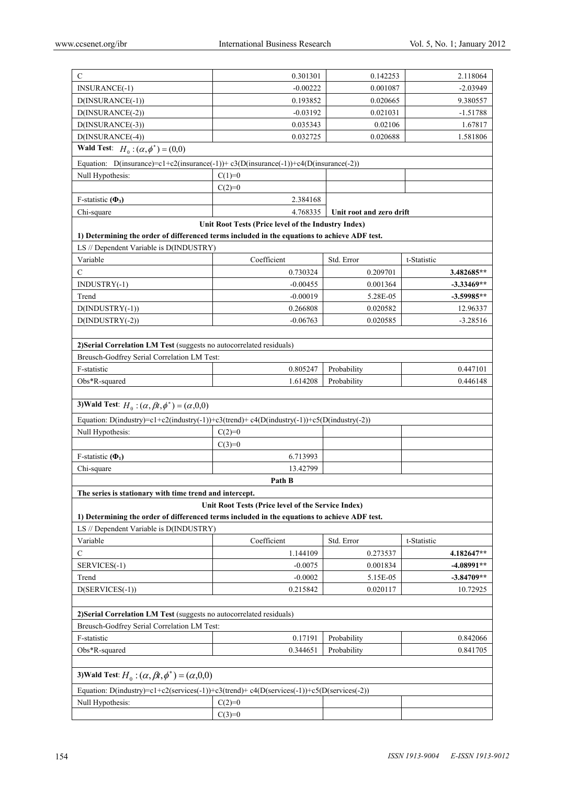| C                                                                                            | 0.301301                                            | 0.142253                 | 2.118064     |
|----------------------------------------------------------------------------------------------|-----------------------------------------------------|--------------------------|--------------|
| INSURANCE(-1)                                                                                | $-0.00222$                                          | 0.001087                 | $-2.03949$   |
| D(INSURANCE(-1))                                                                             | 0.193852                                            | 0.020665                 | 9.380557     |
| $D(INSURANCE(-2))$                                                                           | $-0.03192$                                          | 0.021031                 | $-1.51788$   |
| D(INSURANCE(-3))                                                                             | 0.035343                                            | 0.02106                  | 1.67817      |
| D(INSURANCE(-4))                                                                             | 0.032725                                            | 0.020688                 | 1.581806     |
| <b>Wald Test:</b> $H_0: (\alpha, \phi^*) = (0,0)$                                            |                                                     |                          |              |
| Equation: D(insurance)=c1+c2(insurance(-1))+c3(D(insurance(-1))+c4(D(insurance(-2))          |                                                     |                          |              |
| Null Hypothesis:                                                                             | $C(1)=0$                                            |                          |              |
|                                                                                              | $C(2)=0$                                            |                          |              |
| F-statistic $(\Phi_3)$                                                                       | 2.384168                                            |                          |              |
| Chi-square                                                                                   | 4.768335                                            | Unit root and zero drift |              |
|                                                                                              | Unit Root Tests (Price level of the Industry Index) |                          |              |
| 1) Determining the order of differenced terms included in the equations to achieve ADF test. |                                                     |                          |              |
| LS // Dependent Variable is D(INDUSTRY)                                                      |                                                     |                          |              |
| Variable                                                                                     | Coefficient                                         | Std. Error               | t-Statistic  |
| C                                                                                            | 0.730324                                            | 0.209701                 | 3.482685**   |
| INDUSTRY(-1)                                                                                 | $-0.00455$                                          | 0.001364                 | -3.33469**   |
| Trend                                                                                        | $-0.00019$                                          | 5.28E-05                 | $-3.59985**$ |
| $D(INDUSTRY(-1))$                                                                            | 0.266808                                            | 0.020582                 | 12.96337     |
| $D(INDUSTRY(-2))$                                                                            | $-0.06763$                                          | 0.020585                 | $-3.28516$   |
|                                                                                              |                                                     |                          |              |
| 2) Serial Correlation LM Test (suggests no autocorrelated residuals)                         |                                                     |                          |              |
| Breusch-Godfrey Serial Correlation LM Test:                                                  |                                                     |                          |              |
| F-statistic                                                                                  | 0.805247                                            | Probability              | 0.447101     |
| Obs*R-squared                                                                                | 1.614208                                            | Probability              | 0.446148     |
|                                                                                              |                                                     |                          |              |
| 3) Wald Test: $H_0: (\alpha, \beta t, \phi^*) = (\alpha, 0, 0)$                              |                                                     |                          |              |
| Equation: D(industry)=c1+c2(industry(-1))+c3(trend)+c4(D(industry(-1))+c5(D(industry(-2))    |                                                     |                          |              |
| Null Hypothesis:                                                                             | $C(2)=0$                                            |                          |              |
|                                                                                              | $C(3)=0$                                            |                          |              |
| F-statistic $(\Phi_1)$                                                                       | 6.713993                                            |                          |              |
| Chi-square                                                                                   | 13.42799                                            |                          |              |
|                                                                                              | Path B                                              |                          |              |
| The series is stationary with time trend and intercept.                                      |                                                     |                          |              |
|                                                                                              | Unit Root Tests (Price level of the Service Index)  |                          |              |
| 1) Determining the order of differenced terms included in the equations to achieve ADF test. |                                                     |                          |              |
| LS // Dependent Variable is D(INDUSTRY)                                                      |                                                     |                          |              |
|                                                                                              |                                                     |                          |              |
| Variable                                                                                     | Coefficient                                         | Std. Error               | t-Statistic  |
| C                                                                                            | 1.144109                                            | 0.273537                 | 4.182647**   |
| SERVICES(-1)                                                                                 | $-0.0075$                                           | 0.001834                 | -4.08991**   |
| Trend                                                                                        | $-0.0002$                                           | 5.15E-05                 | $-3.84709**$ |
| $D(SERVICES(-1))$                                                                            | 0.215842                                            | 0.020117                 | 10.72925     |
|                                                                                              |                                                     |                          |              |
| 2) Serial Correlation LM Test (suggests no autocorrelated residuals)                         |                                                     |                          |              |
| Breusch-Godfrey Serial Correlation LM Test:                                                  |                                                     |                          |              |
| F-statistic                                                                                  | 0.17191                                             | Probability              | 0.842066     |
| Obs*R-squared                                                                                | 0.344651                                            | Probability              | 0.841705     |
|                                                                                              |                                                     |                          |              |
| 3) Wald Test: $H_0$ : $(\alpha, \beta t, \phi^*)$ = $(\alpha, 0, 0)$                         |                                                     |                          |              |
| Equation: D(industry)=c1+c2(services(-1))+c3(trend)+c4(D(services(-1))+c5(D(services(-2))    |                                                     |                          |              |
| Null Hypothesis:                                                                             | $C(2)=0$                                            |                          |              |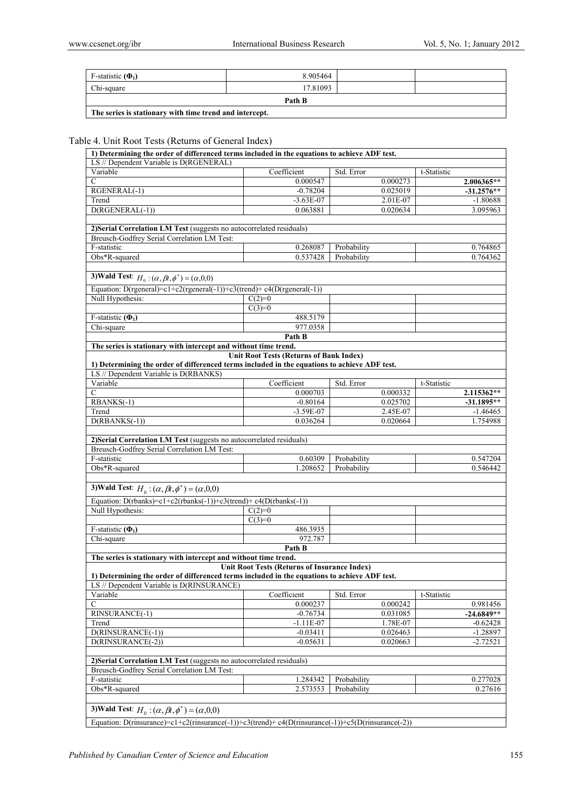| F-statistic $(\Phi_1)$ | 8.905464 |  |  |  |
|------------------------|----------|--|--|--|
| Chi-square             | 17.81093 |  |  |  |
| Path B                 |          |  |  |  |

**The series is stationary with time trend and intercept.** 

# Table 4. Unit Root Tests (Returns of General Index)

| 1) Determining the order of differenced terms included in the equations to achieve ADF test. |                                                                                                   |             |          |             |              |
|----------------------------------------------------------------------------------------------|---------------------------------------------------------------------------------------------------|-------------|----------|-------------|--------------|
| LS // Dependent Variable is D(RGENERAL)                                                      |                                                                                                   |             |          |             |              |
| Variable                                                                                     | Coefficient                                                                                       | Std. Error  |          | t-Statistic |              |
| C                                                                                            | 0.000547                                                                                          |             | 0.000273 |             | $2.006365**$ |
| RGENERAL(-1)                                                                                 | $-0.78204$                                                                                        |             | 0.025019 |             | $-31.2576**$ |
| Trend                                                                                        | $-3.63E-07$                                                                                       |             | 2.01E-07 |             | $-1.80688$   |
| D(RGENERAL(-1))                                                                              | 0.063881                                                                                          |             | 0.020634 |             | 3.095963     |
|                                                                                              |                                                                                                   |             |          |             |              |
| 2) Serial Correlation LM Test (suggests no autocorrelated residuals)                         |                                                                                                   |             |          |             |              |
| Breusch-Godfrey Serial Correlation LM Test:                                                  |                                                                                                   |             |          |             |              |
| F-statistic                                                                                  | 0.268087                                                                                          | Probability |          |             | 0.764865     |
| Obs*R-squared                                                                                | 0.537428                                                                                          | Probability |          |             | 0.764362     |
|                                                                                              |                                                                                                   |             |          |             |              |
| 3) Wald Test: $H_0: (\alpha, \beta t, \phi^*) = (\alpha, 0, 0)$                              |                                                                                                   |             |          |             |              |
| Equation: D(rgeneral)= $c1+c2$ (rgeneral(-1))+ $c3$ (trend)+ $c4(D$ (rgeneral(-1))           |                                                                                                   |             |          |             |              |
| Null Hypothesis:                                                                             | $C(2)=0$                                                                                          |             |          |             |              |
|                                                                                              | $C(3)=0$                                                                                          |             |          |             |              |
| F-statistic $(\Phi_1)$                                                                       | 488.5179                                                                                          |             |          |             |              |
| Chi-square                                                                                   | 977.0358                                                                                          |             |          |             |              |
|                                                                                              | Path B                                                                                            |             |          |             |              |
| The series is stationary with intercept and without time trend.                              |                                                                                                   |             |          |             |              |
|                                                                                              | <b>Unit Root Tests (Returns of Bank Index)</b>                                                    |             |          |             |              |
| 1) Determining the order of differenced terms included in the equations to achieve ADF test. |                                                                                                   |             |          |             |              |
| LS // Dependent Variable is D(RBANKS)                                                        |                                                                                                   |             |          |             |              |
| Variable                                                                                     | Coefficient                                                                                       | Std. Error  |          | t-Statistic |              |
| С                                                                                            | 0.000703                                                                                          |             | 0.000332 |             | 2.115362**   |
| RBANKS(-1)                                                                                   | $-0.80164$                                                                                        |             | 0.025702 |             | $-31.1895**$ |
| Trend                                                                                        | $-3.59E-07$                                                                                       |             | 2.45E-07 |             | $-1.46465$   |
| $D(RBANKS(-1))$                                                                              | 0.036264                                                                                          |             | 0.020664 |             | 1.754988     |
| 2) Serial Correlation LM Test (suggests no autocorrelated residuals)                         |                                                                                                   |             |          |             |              |
| Breusch-Godfrey Serial Correlation LM Test:                                                  |                                                                                                   |             |          |             |              |
| F-statistic                                                                                  | 0.60309                                                                                           | Probability |          |             | 0.547204     |
| Obs*R-squared                                                                                | 1.208652                                                                                          | Probability |          |             | 0.546442     |
|                                                                                              |                                                                                                   |             |          |             |              |
| 3) Wald Test: $H_0: (\alpha, \beta t, \phi^*) = (\alpha, 0, 0)$                              |                                                                                                   |             |          |             |              |
|                                                                                              |                                                                                                   |             |          |             |              |
| Equation: D(rbanks)=c1+c2(rbanks(-1))+c3(trend)+c4(D(rbanks(-1))                             |                                                                                                   |             |          |             |              |
| Null Hypothesis:                                                                             | $C(2)=0$                                                                                          |             |          |             |              |
| F-statistic $(\Phi_1)$                                                                       | $C(3)=0$<br>486.3935                                                                              |             |          |             |              |
| Chi-square                                                                                   | 972.787                                                                                           |             |          |             |              |
|                                                                                              | Path B                                                                                            |             |          |             |              |
| The series is stationary with intercept and without time trend.                              |                                                                                                   |             |          |             |              |
|                                                                                              | Unit Root Tests (Returns of Insurance Index)                                                      |             |          |             |              |
| 1) Determining the order of differenced terms included in the equations to achieve ADF test. |                                                                                                   |             |          |             |              |
| LS // Dependent Variable is D(RINSURANCE)                                                    |                                                                                                   |             |          |             |              |
| Variable                                                                                     | Coefficient                                                                                       | Std. Error  |          | t-Statistic |              |
| С                                                                                            | 0.000237                                                                                          |             | 0.000242 |             | 0.981456     |
| RINSURANCE(-1)                                                                               | $-0.76734$                                                                                        |             | 0.031085 |             | $-24.6849**$ |
| Trend                                                                                        | $-1.11E-07$                                                                                       |             | 1.78E-07 |             | $-0.62428$   |
| D(RINSURANCE(-1))                                                                            | $-0.03411$                                                                                        |             | 0.026463 |             | $-1.28897$   |
| D(RINSURANCE(-2))                                                                            | $-0.05631$                                                                                        |             | 0.020663 |             | $-2.72521$   |
|                                                                                              |                                                                                                   |             |          |             |              |
| 2) Serial Correlation LM Test (suggests no autocorrelated residuals)                         |                                                                                                   |             |          |             |              |
| Breusch-Godfrey Serial Correlation LM Test:                                                  |                                                                                                   |             |          |             |              |
| F-statistic                                                                                  | 1.284342                                                                                          | Probability |          |             | 0.277028     |
| Obs*R-squared                                                                                | 2.573553                                                                                          | Probability |          |             | 0.27616      |
|                                                                                              |                                                                                                   |             |          |             |              |
| 3) Wald Test: $H_0$ : $(\alpha, \beta t, \phi^*)$ = $(\alpha, 0, 0)$                         |                                                                                                   |             |          |             |              |
|                                                                                              | Equation: D(rinsurance)=c1+c2(rinsurance(-1))+c3(trend)+c4(D(rinsurance(-1))+c5(D(rinsurance(-2)) |             |          |             |              |